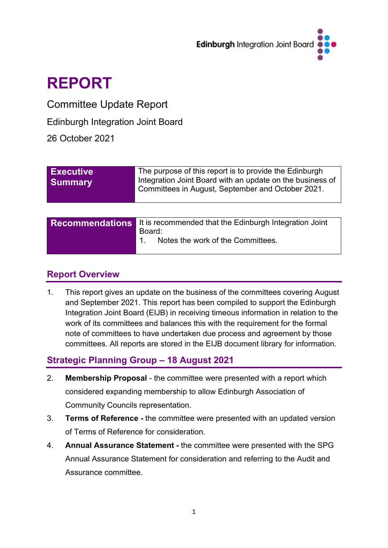

# **REPORT**

Committee Update Report

Edinburgh Integration Joint Board

26 October 2021

| <b>Executive</b><br><b>Summary</b> | The purpose of this report is to provide the Edinburgh<br>Integration Joint Board with an update on the business of<br>Committees in August, September and October 2021. |
|------------------------------------|--------------------------------------------------------------------------------------------------------------------------------------------------------------------------|
|                                    |                                                                                                                                                                          |

| <b>Recommendations</b> It is recommended that the Edinburgh Integration Joint |
|-------------------------------------------------------------------------------|
| Board:<br>Notes the work of the Committees.                                   |

## **Report Overview**

1. This report gives an update on the business of the committees covering August and September 2021. This report has been compiled to support the Edinburgh Integration Joint Board (EIJB) in receiving timeous information in relation to the work of its committees and balances this with the requirement for the formal note of committees to have undertaken due process and agreement by those committees. All reports are stored in the EIJB document library for information.

# **Strategic Planning Group – 18 August 2021**

- 2. **Membership Proposal** the committee were presented with a report which considered expanding membership to allow Edinburgh Association of Community Councils representation.
- 3. **Terms of Reference -** the committee were presented with an updated version of Terms of Reference for consideration.
- 4. **Annual Assurance Statement -** the committee were presented with the SPG Annual Assurance Statement for consideration and referring to the Audit and Assurance committee.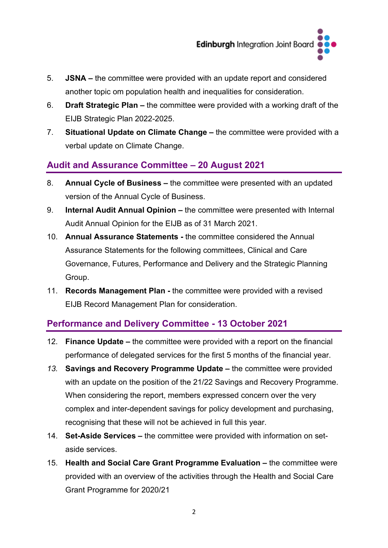

- 5. **JSNA –** the committee were provided with an update report and considered another topic om population health and inequalities for consideration.
- 6. **Draft Strategic Plan –** the committee were provided with a working draft of the EIJB Strategic Plan 2022-2025.
- 7. **Situational Update on Climate Change –** the committee were provided with a verbal update on Climate Change.

## **Audit and Assurance Committee – 20 August 2021**

- 8. **Annual Cycle of Business –** the committee were presented with an updated version of the Annual Cycle of Business.
- 9. **Internal Audit Annual Opinion –** the committee were presented with Internal Audit Annual Opinion for the EIJB as of 31 March 2021.
- 10. **Annual Assurance Statements -** the committee considered the Annual Assurance Statements for the following committees, Clinical and Care Governance, Futures, Performance and Delivery and the Strategic Planning Group.
- 11. **Records Management Plan -** the committee were provided with a revised EIJB Record Management Plan for consideration.

#### **Performance and Delivery Committee - 13 October 2021**

- 12. **Finance Update –** the committee were provided with a report on the financial performance of delegated services for the first 5 months of the financial year.
- *13.* **Savings and Recovery Programme Update –** the committee were provided with an update on the position of the 21/22 Savings and Recovery Programme. When considering the report, members expressed concern over the very complex and inter-dependent savings for policy development and purchasing, recognising that these will not be achieved in full this year.
- 14. **Set-Aside Services –** the committee were provided with information on setaside services.
- 15. **Health and Social Care Grant Programme Evaluation –** the committee were provided with an overview of the activities through the Health and Social Care Grant Programme for 2020/21